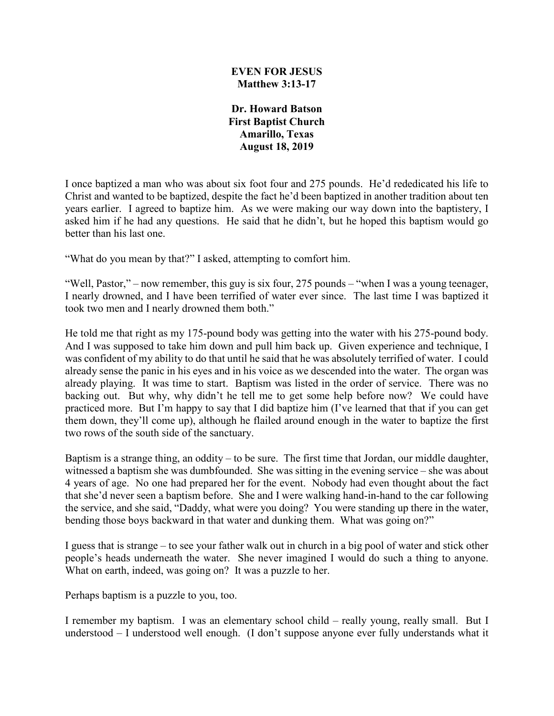#### **EVEN FOR JESUS Matthew 3:13-17**

**Dr. Howard Batson First Baptist Church Amarillo, Texas August 18, 2019**

I once baptized a man who was about six foot four and 275 pounds. He'd rededicated his life to Christ and wanted to be baptized, despite the fact he'd been baptized in another tradition about ten years earlier. I agreed to baptize him. As we were making our way down into the baptistery, I asked him if he had any questions. He said that he didn't, but he hoped this baptism would go better than his last one.

"What do you mean by that?" I asked, attempting to comfort him.

"Well, Pastor," – now remember, this guy is six four, 275 pounds – "when I was a young teenager, I nearly drowned, and I have been terrified of water ever since. The last time I was baptized it took two men and I nearly drowned them both."

He told me that right as my 175-pound body was getting into the water with his 275-pound body. And I was supposed to take him down and pull him back up. Given experience and technique, I was confident of my ability to do that until he said that he was absolutely terrified of water. I could already sense the panic in his eyes and in his voice as we descended into the water. The organ was already playing. It was time to start. Baptism was listed in the order of service. There was no backing out. But why, why didn't he tell me to get some help before now? We could have practiced more. But I'm happy to say that I did baptize him (I've learned that that if you can get them down, they'll come up), although he flailed around enough in the water to baptize the first two rows of the south side of the sanctuary.

Baptism is a strange thing, an oddity – to be sure. The first time that Jordan, our middle daughter, witnessed a baptism she was dumbfounded. She was sitting in the evening service – she was about 4 years of age. No one had prepared her for the event. Nobody had even thought about the fact that she'd never seen a baptism before. She and I were walking hand-in-hand to the car following the service, and she said, "Daddy, what were you doing? You were standing up there in the water, bending those boys backward in that water and dunking them. What was going on?"

I guess that is strange – to see your father walk out in church in a big pool of water and stick other people's heads underneath the water. She never imagined I would do such a thing to anyone. What on earth, indeed, was going on? It was a puzzle to her.

Perhaps baptism is a puzzle to you, too.

I remember my baptism. I was an elementary school child – really young, really small. But I understood – I understood well enough. (I don't suppose anyone ever fully understands what it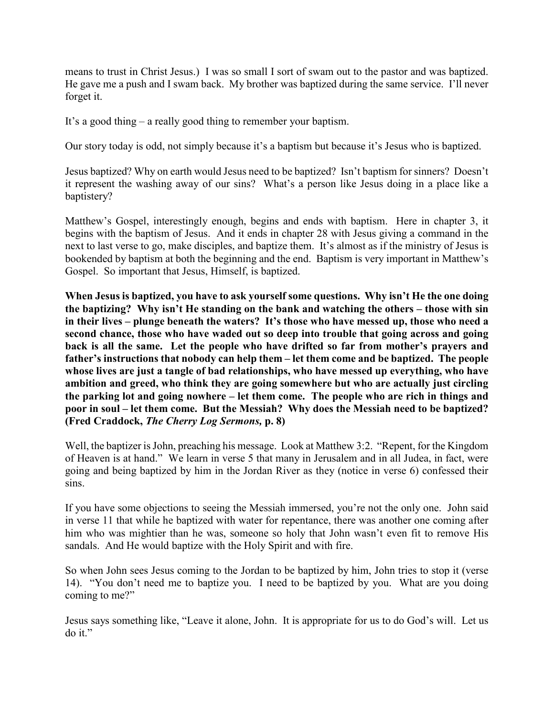means to trust in Christ Jesus.) I was so small I sort of swam out to the pastor and was baptized. He gave me a push and I swam back. My brother was baptized during the same service. I'll never forget it.

It's a good thing – a really good thing to remember your baptism.

Our story today is odd, not simply because it's a baptism but because it's Jesus who is baptized.

Jesus baptized? Why on earth would Jesus need to be baptized? Isn't baptism for sinners? Doesn't it represent the washing away of our sins? What's a person like Jesus doing in a place like a baptistery?

Matthew's Gospel, interestingly enough, begins and ends with baptism. Here in chapter 3, it begins with the baptism of Jesus. And it ends in chapter 28 with Jesus giving a command in the next to last verse to go, make disciples, and baptize them. It's almost as if the ministry of Jesus is bookended by baptism at both the beginning and the end. Baptism is very important in Matthew's Gospel. So important that Jesus, Himself, is baptized.

**When Jesus is baptized, you have to ask yourself some questions. Why isn't He the one doing the baptizing? Why isn't He standing on the bank and watching the others – those with sin in their lives – plunge beneath the waters? It's those who have messed up, those who need a second chance, those who have waded out so deep into trouble that going across and going back is all the same. Let the people who have drifted so far from mother's prayers and father's instructions that nobody can help them – let them come and be baptized. The people whose lives are just a tangle of bad relationships, who have messed up everything, who have ambition and greed, who think they are going somewhere but who are actually just circling the parking lot and going nowhere – let them come. The people who are rich in things and poor in soul – let them come. But the Messiah? Why does the Messiah need to be baptized? (Fred Craddock,** *The Cherry Log Sermons,* **p. 8)**

Well, the baptizer is John, preaching his message. Look at Matthew 3:2. "Repent, for the Kingdom of Heaven is at hand." We learn in verse 5 that many in Jerusalem and in all Judea, in fact, were going and being baptized by him in the Jordan River as they (notice in verse 6) confessed their sins.

If you have some objections to seeing the Messiah immersed, you're not the only one. John said in verse 11 that while he baptized with water for repentance, there was another one coming after him who was mightier than he was, someone so holy that John wasn't even fit to remove His sandals. And He would baptize with the Holy Spirit and with fire.

So when John sees Jesus coming to the Jordan to be baptized by him, John tries to stop it (verse 14). "You don't need me to baptize you. I need to be baptized by you. What are you doing coming to me?"

Jesus says something like, "Leave it alone, John. It is appropriate for us to do God's will. Let us do it."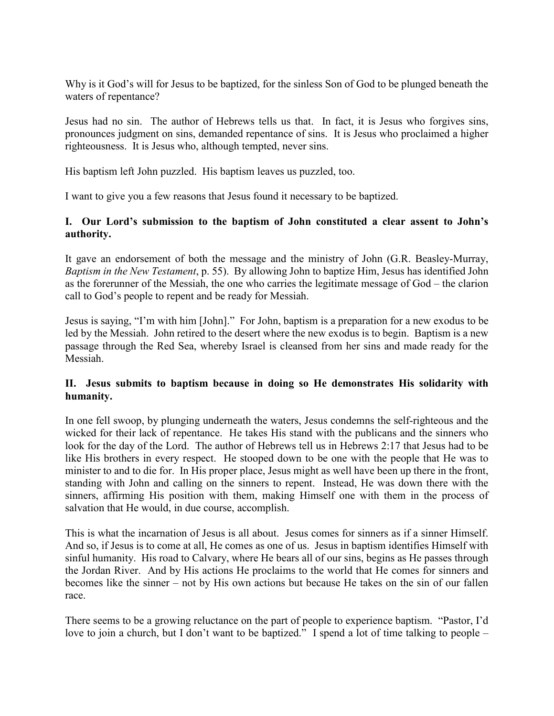Why is it God's will for Jesus to be baptized, for the sinless Son of God to be plunged beneath the waters of repentance?

Jesus had no sin. The author of Hebrews tells us that. In fact, it is Jesus who forgives sins, pronounces judgment on sins, demanded repentance of sins. It is Jesus who proclaimed a higher righteousness. It is Jesus who, although tempted, never sins.

His baptism left John puzzled. His baptism leaves us puzzled, too.

I want to give you a few reasons that Jesus found it necessary to be baptized.

### **I. Our Lord's submission to the baptism of John constituted a clear assent to John's authority.**

It gave an endorsement of both the message and the ministry of John (G.R. Beasley-Murray, *Baptism in the New Testament*, p. 55). By allowing John to baptize Him, Jesus has identified John as the forerunner of the Messiah, the one who carries the legitimate message of God – the clarion call to God's people to repent and be ready for Messiah.

Jesus is saying, "I'm with him [John]." For John, baptism is a preparation for a new exodus to be led by the Messiah. John retired to the desert where the new exodus is to begin. Baptism is a new passage through the Red Sea, whereby Israel is cleansed from her sins and made ready for the Messiah.

# **II. Jesus submits to baptism because in doing so He demonstrates His solidarity with humanity.**

In one fell swoop, by plunging underneath the waters, Jesus condemns the self-righteous and the wicked for their lack of repentance. He takes His stand with the publicans and the sinners who look for the day of the Lord. The author of Hebrews tell us in Hebrews 2:17 that Jesus had to be like His brothers in every respect. He stooped down to be one with the people that He was to minister to and to die for. In His proper place, Jesus might as well have been up there in the front, standing with John and calling on the sinners to repent. Instead, He was down there with the sinners, affirming His position with them, making Himself one with them in the process of salvation that He would, in due course, accomplish.

This is what the incarnation of Jesus is all about. Jesus comes for sinners as if a sinner Himself. And so, if Jesus is to come at all, He comes as one of us. Jesus in baptism identifies Himself with sinful humanity. His road to Calvary, where He bears all of our sins, begins as He passes through the Jordan River. And by His actions He proclaims to the world that He comes for sinners and becomes like the sinner – not by His own actions but because He takes on the sin of our fallen race.

There seems to be a growing reluctance on the part of people to experience baptism. "Pastor, I'd love to join a church, but I don't want to be baptized." I spend a lot of time talking to people –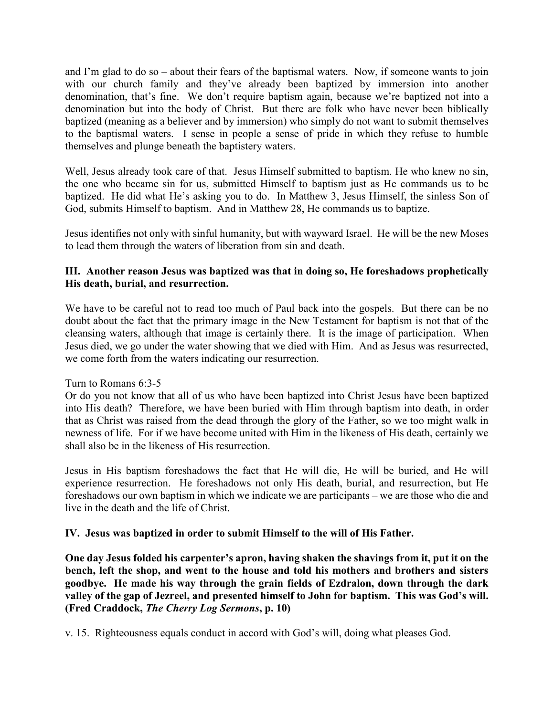and I'm glad to do so – about their fears of the baptismal waters. Now, if someone wants to join with our church family and they've already been baptized by immersion into another denomination, that's fine. We don't require baptism again, because we're baptized not into a denomination but into the body of Christ. But there are folk who have never been biblically baptized (meaning as a believer and by immersion) who simply do not want to submit themselves to the baptismal waters. I sense in people a sense of pride in which they refuse to humble themselves and plunge beneath the baptistery waters.

Well, Jesus already took care of that. Jesus Himself submitted to baptism. He who knew no sin, the one who became sin for us, submitted Himself to baptism just as He commands us to be baptized. He did what He's asking you to do. In Matthew 3, Jesus Himself, the sinless Son of God, submits Himself to baptism. And in Matthew 28, He commands us to baptize.

Jesus identifies not only with sinful humanity, but with wayward Israel. He will be the new Moses to lead them through the waters of liberation from sin and death.

# **III. Another reason Jesus was baptized was that in doing so, He foreshadows prophetically His death, burial, and resurrection.**

We have to be careful not to read too much of Paul back into the gospels. But there can be no doubt about the fact that the primary image in the New Testament for baptism is not that of the cleansing waters, although that image is certainly there. It is the image of participation. When Jesus died, we go under the water showing that we died with Him. And as Jesus was resurrected, we come forth from the waters indicating our resurrection.

# Turn to Romans 6:3-5

Or do you not know that all of us who have been baptized into Christ Jesus have been baptized into His death? Therefore, we have been buried with Him through baptism into death, in order that as Christ was raised from the dead through the glory of the Father, so we too might walk in newness of life. For if we have become united with Him in the likeness of His death, certainly we shall also be in the likeness of His resurrection.

Jesus in His baptism foreshadows the fact that He will die, He will be buried, and He will experience resurrection. He foreshadows not only His death, burial, and resurrection, but He foreshadows our own baptism in which we indicate we are participants – we are those who die and live in the death and the life of Christ.

# **IV. Jesus was baptized in order to submit Himself to the will of His Father.**

**One day Jesus folded his carpenter's apron, having shaken the shavings from it, put it on the bench, left the shop, and went to the house and told his mothers and brothers and sisters goodbye. He made his way through the grain fields of Ezdralon, down through the dark valley of the gap of Jezreel, and presented himself to John for baptism. This was God's will. (Fred Craddock,** *The Cherry Log Sermons***, p. 10)**

v. 15. Righteousness equals conduct in accord with God's will, doing what pleases God.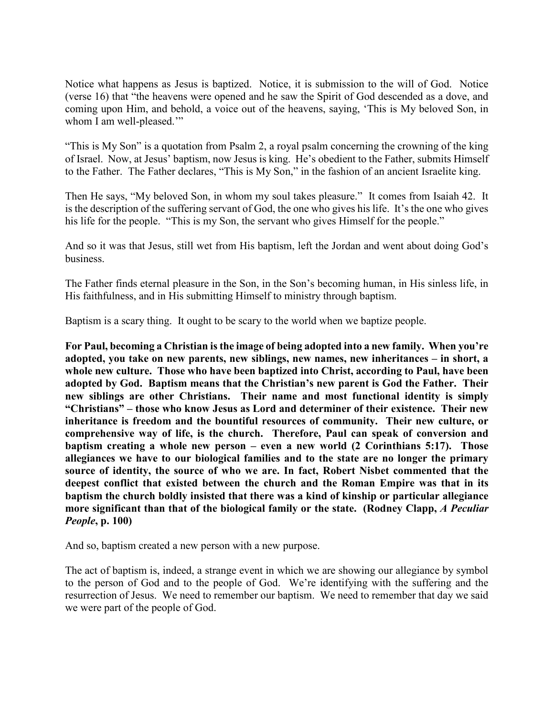Notice what happens as Jesus is baptized. Notice, it is submission to the will of God. Notice (verse 16) that "the heavens were opened and he saw the Spirit of God descended as a dove, and coming upon Him, and behold, a voice out of the heavens, saying, 'This is My beloved Son, in whom I am well-pleased."

"This is My Son" is a quotation from Psalm 2, a royal psalm concerning the crowning of the king of Israel. Now, at Jesus' baptism, now Jesus is king. He's obedient to the Father, submits Himself to the Father. The Father declares, "This is My Son," in the fashion of an ancient Israelite king.

Then He says, "My beloved Son, in whom my soul takes pleasure." It comes from Isaiah 42. It is the description of the suffering servant of God, the one who gives his life. It's the one who gives his life for the people. "This is my Son, the servant who gives Himself for the people."

And so it was that Jesus, still wet from His baptism, left the Jordan and went about doing God's business.

The Father finds eternal pleasure in the Son, in the Son's becoming human, in His sinless life, in His faithfulness, and in His submitting Himself to ministry through baptism.

Baptism is a scary thing. It ought to be scary to the world when we baptize people.

**For Paul, becoming a Christian is the image of being adopted into a new family. When you're adopted, you take on new parents, new siblings, new names, new inheritances – in short, a whole new culture. Those who have been baptized into Christ, according to Paul, have been adopted by God. Baptism means that the Christian's new parent is God the Father. Their new siblings are other Christians. Their name and most functional identity is simply "Christians" – those who know Jesus as Lord and determiner of their existence. Their new inheritance is freedom and the bountiful resources of community. Their new culture, or comprehensive way of life, is the church. Therefore, Paul can speak of conversion and baptism creating a whole new person – even a new world (2 Corinthians 5:17). Those allegiances we have to our biological families and to the state are no longer the primary source of identity, the source of who we are. In fact, Robert Nisbet commented that the deepest conflict that existed between the church and the Roman Empire was that in its baptism the church boldly insisted that there was a kind of kinship or particular allegiance more significant than that of the biological family or the state. (Rodney Clapp,** *A Peculiar People***, p. 100)**

And so, baptism created a new person with a new purpose.

The act of baptism is, indeed, a strange event in which we are showing our allegiance by symbol to the person of God and to the people of God. We're identifying with the suffering and the resurrection of Jesus. We need to remember our baptism. We need to remember that day we said we were part of the people of God.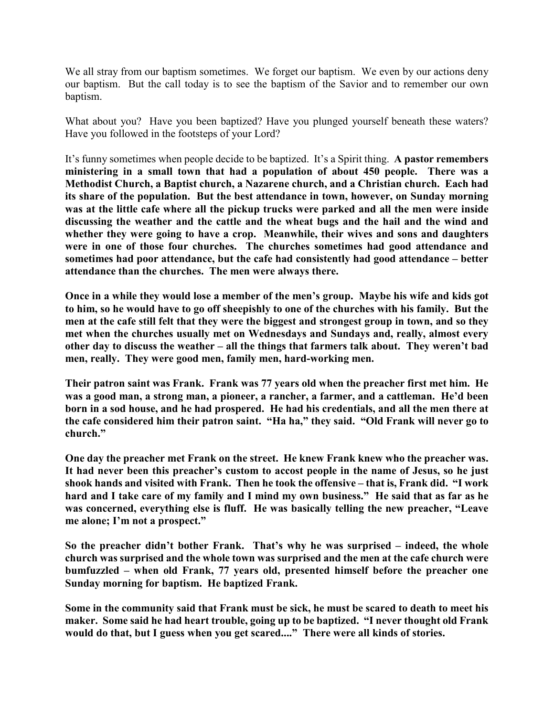We all stray from our baptism sometimes. We forget our baptism. We even by our actions deny our baptism. But the call today is to see the baptism of the Savior and to remember our own baptism.

What about you? Have you been baptized? Have you plunged yourself beneath these waters? Have you followed in the footsteps of your Lord?

It's funny sometimes when people decide to be baptized. It's a Spirit thing. **A pastor remembers ministering in a small town that had a population of about 450 people. There was a Methodist Church, a Baptist church, a Nazarene church, and a Christian church. Each had its share of the population. But the best attendance in town, however, on Sunday morning was at the little cafe where all the pickup trucks were parked and all the men were inside discussing the weather and the cattle and the wheat bugs and the hail and the wind and whether they were going to have a crop. Meanwhile, their wives and sons and daughters were in one of those four churches. The churches sometimes had good attendance and sometimes had poor attendance, but the cafe had consistently had good attendance – better attendance than the churches. The men were always there.**

**Once in a while they would lose a member of the men's group. Maybe his wife and kids got to him, so he would have to go off sheepishly to one of the churches with his family. But the men at the cafe still felt that they were the biggest and strongest group in town, and so they met when the churches usually met on Wednesdays and Sundays and, really, almost every other day to discuss the weather – all the things that farmers talk about. They weren't bad men, really. They were good men, family men, hard-working men.** 

**Their patron saint was Frank. Frank was 77 years old when the preacher first met him. He was a good man, a strong man, a pioneer, a rancher, a farmer, and a cattleman. He'd been born in a sod house, and he had prospered. He had his credentials, and all the men there at the cafe considered him their patron saint. "Ha ha," they said. "Old Frank will never go to church."**

**One day the preacher met Frank on the street. He knew Frank knew who the preacher was. It had never been this preacher's custom to accost people in the name of Jesus, so he just shook hands and visited with Frank. Then he took the offensive – that is, Frank did. "I work hard and I take care of my family and I mind my own business." He said that as far as he was concerned, everything else is fluff. He was basically telling the new preacher, "Leave me alone; I'm not a prospect."**

**So the preacher didn't bother Frank. That's why he was surprised – indeed, the whole church was surprised and the whole town was surprised and the men at the cafe church were bumfuzzled – when old Frank, 77 years old, presented himself before the preacher one Sunday morning for baptism. He baptized Frank.**

**Some in the community said that Frank must be sick, he must be scared to death to meet his maker. Some said he had heart trouble, going up to be baptized. "I never thought old Frank would do that, but I guess when you get scared...." There were all kinds of stories.**